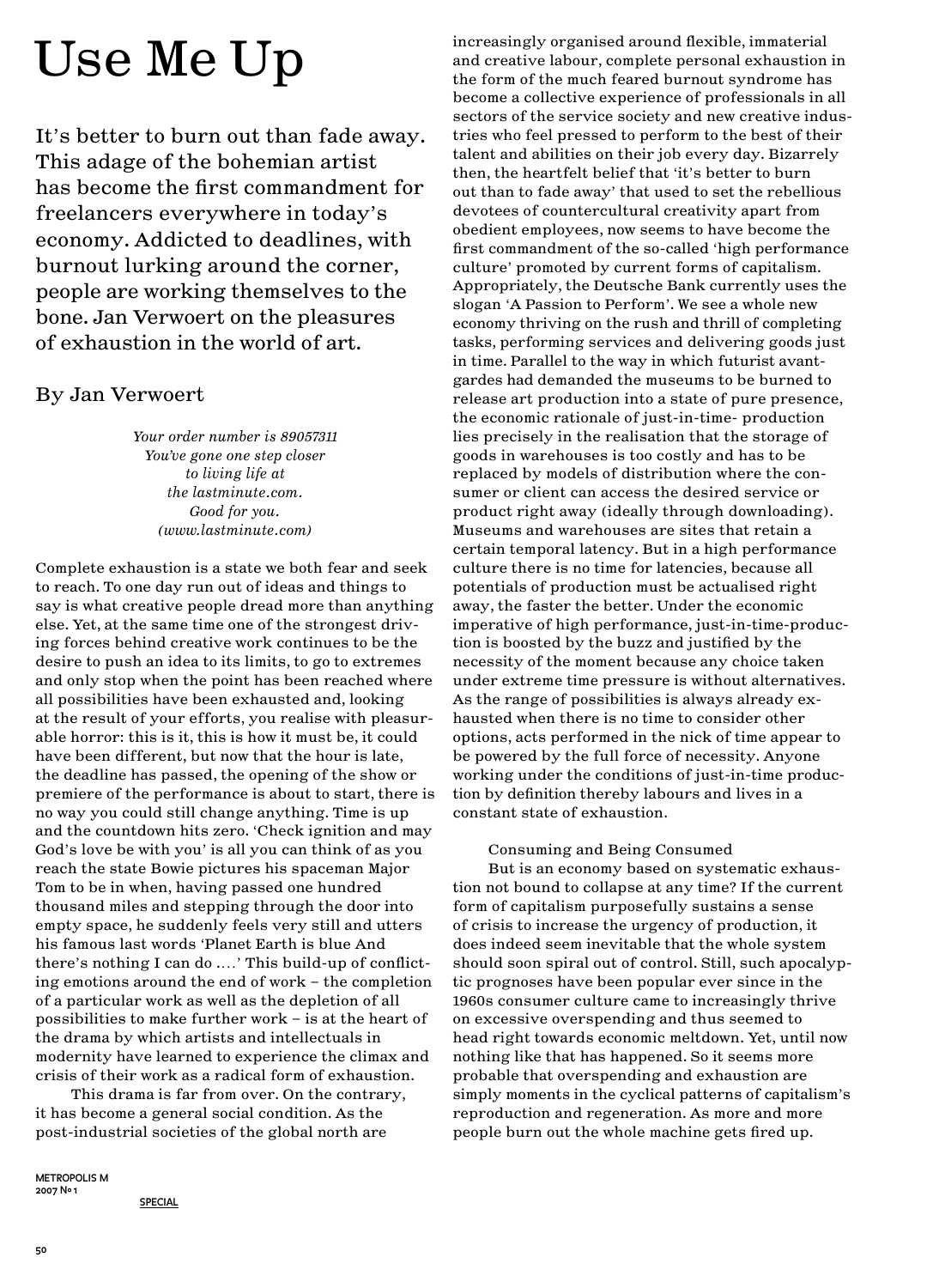## **Use Me Up**

**It's better to burn out than fade away. This adage of the bohemian artist has become the first commandment for freelancers everywhere in today's economy. Addicted to deadlines, with burnout lurking around the corner, people are working themselves to the bone. Jan Verwoert on the pleasures of exhaustion in the world of art.**

## **By Jan Verwoert**

*Your order number is 89057311 You've gone one step closer to living life at the lastminute.com. Good for you. (www.lastminute.com)*

**Complete exhaustion is a state we both fear and seek to reach. To one day run out of ideas and things to say is what creative people dread more than anything else. Yet, at the same time one of the strongest driving forces behind creative work continues to be the desire to push an idea to its limits, to go to extremes and only stop when the point has been reached where all possibilities have been exhausted and, looking at the result of your efforts, you realise with pleasurable horror: this is it, this is how it must be, it could have been different, but now that the hour is late, the deadline has passed, the opening of the show or premiere of the performance is about to start, there is no way you could still change anything. Time is up and the countdown hits zero. 'Check ignition and may God's love be with you' is all you can think of as you reach the state Bowie pictures his spaceman Major Tom to be in when, having passed one hundred thousand miles and stepping through the door into empty space, he suddenly feels very still and utters his famous last words 'Planet Earth is blue And there's nothing I can do .…' This build-up of conflicting emotions around the end of work – the completion of a particular work as well as the depletion of all possibilities to make further work – is at the heart of the drama by which artists and intellectuals in modernity have learned to experience the climax and crisis of their work as a radical form of exhaustion.** 

**This drama is far from over. On the contrary, it has become a general social condition. As the post-industrial societies of the global north are** 

METROPOLIS M 2007 Nº 1

**SPECIAL** 

**increasingly organised around flexible, immaterial and creative labour, complete personal exhaustion in the form of the much feared burnout syndrome has become a collective experience of professionals in all sectors of the service society and new creative industries who feel pressed to perform to the best of their talent and abilities on their job every day. Bizarrely then, the heartfelt belief that 'it's better to burn out than to fade away' that used to set the rebellious devotees of countercultural creativity apart from obedient employees, now seems to have become the first commandment of the so-called 'high performance culture' promoted by current forms of capitalism. Appropriately, the Deutsche Bank currently uses the slogan 'A Passion to Perform'. We see a whole new economy thriving on the rush and thrill of completing tasks, performing services and delivering goods just in time. Parallel to the way in which futurist avantgardes had demanded the museums to be burned to release art production into a state of pure presence, the economic rationale of just-in-time- production lies precisely in the realisation that the storage of goods in warehouses is too costly and has to be replaced by models of distribution where the consumer or client can access the desired service or product right away (ideally through downloading). Museums and warehouses are sites that retain a certain temporal latency. But in a high performance culture there is no time for latencies, because all potentials of production must be actualised right away, the faster the better. Under the economic imperative of high performance, just-in-time-production is boosted by the buzz and justified by the necessity of the moment because any choice taken under extreme time pressure is without alternatives. As the range of possibilities is always already exhausted when there is no time to consider other options, acts performed in the nick of time appear to be powered by the full force of necessity. Anyone working under the conditions of just-in-time production by definition thereby labours and lives in a constant state of exhaustion.**

**Consuming and Being Consumed**

**But is an economy based on systematic exhaustion not bound to collapse at any time? If the current form of capitalism purposefully sustains a sense of crisis to increase the urgency of production, it does indeed seem inevitable that the whole system should soon spiral out of control. Still, such apocalyptic prognoses have been popular ever since in the 1960s consumer culture came to increasingly thrive on excessive overspending and thus seemed to head right towards economic meltdown. Yet, until now nothing like that has happened. So it seems more probable that overspending and exhaustion are simply moments in the cyclical patterns of capitalism's reproduction and regeneration. As more and more people burn out the whole machine gets fired up.**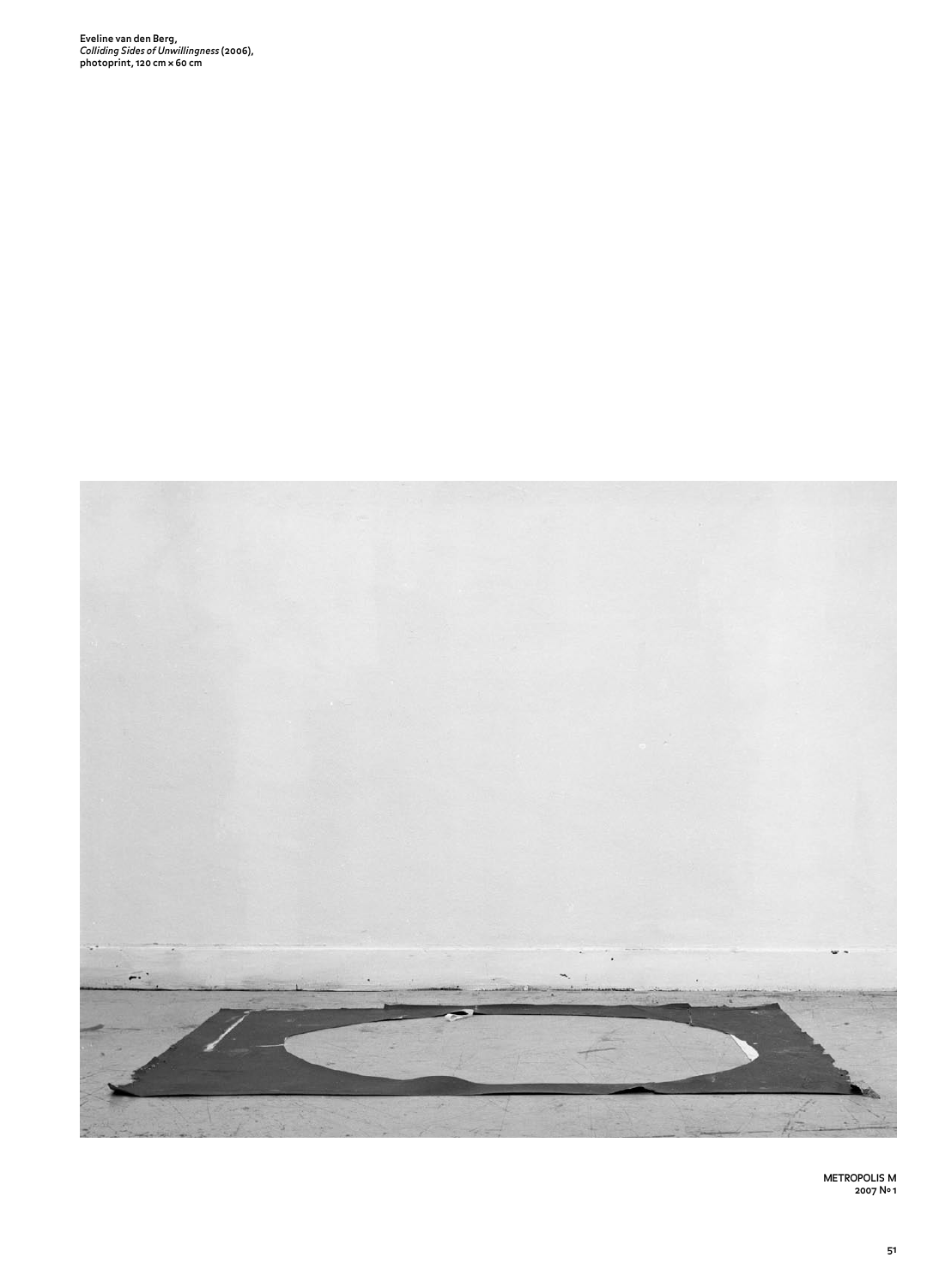Eveline van den Berg,<br>*Colliding Sides of Unwillingness* (2006),<br>photoprint, 120 cm × 60 cm



METROPOLIS M 2007 Nº 1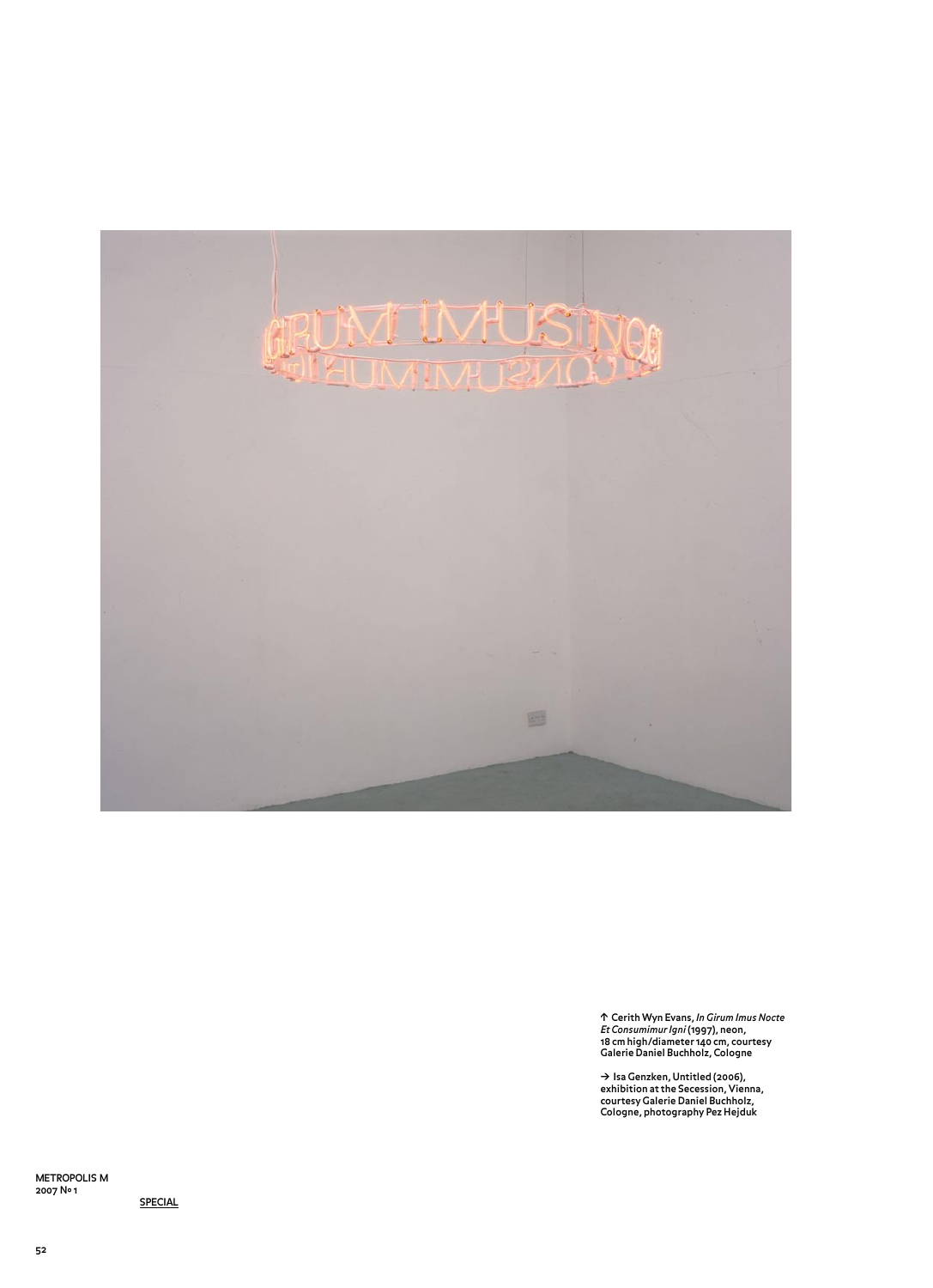

≠ Cerith Wyn Evans, *In Girum Imus Nocte Et Consumimur Igni* (1997), neon, 18 cm high/diameter 140 cm, courtesy Galerie Daniel Buchholz, Cologne

→ Isa Genzken, Untitled (2006),<br>exhibition at the Secession, Vienna,<br>courtesy Galerie Daniel Buchholz,<br>Cologne, photography Pez Hejduk

METROPOLIS M 2007 Nº 1

**SPECIAL**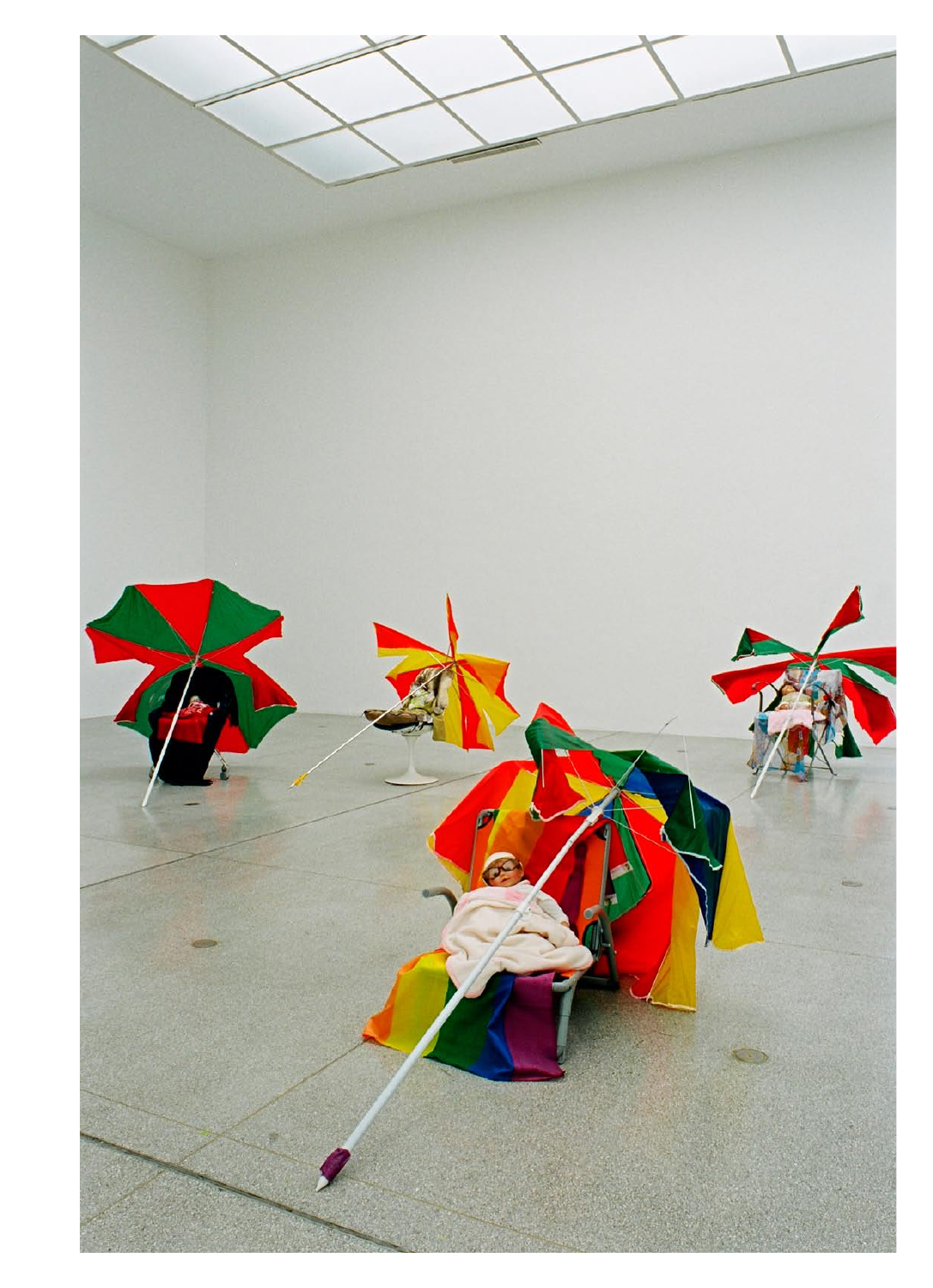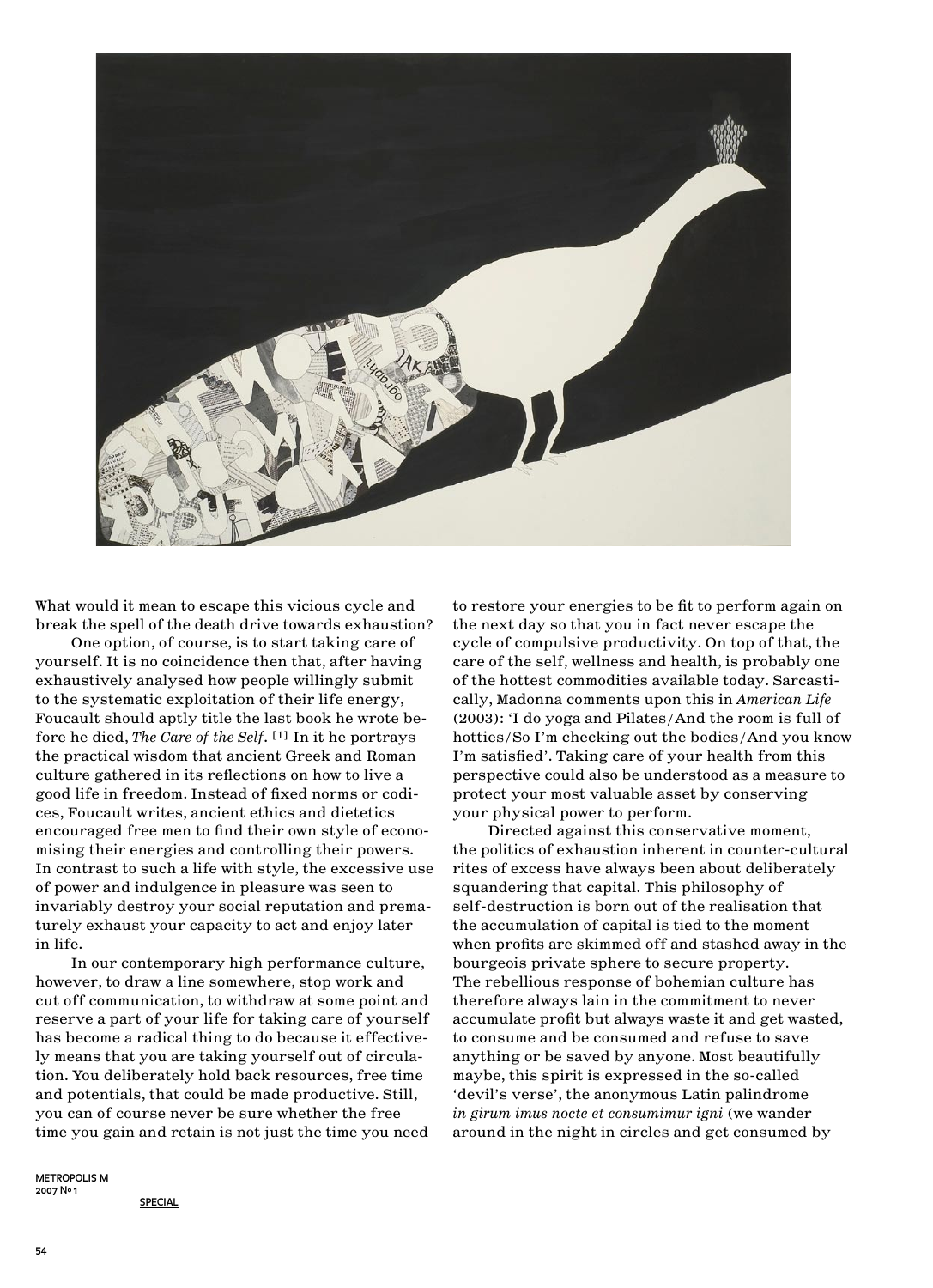

**What would it mean to escape this vicious cycle and break the spell of the death drive towards exhaustion?** 

**One option, of course, is to start taking care of yourself. It is no coincidence then that, after having exhaustively analysed how people willingly submit to the systematic exploitation of their life energy, Foucault should aptly title the last book he wrote before he died,** *The Care of the Self***. [1] In it he portrays the practical wisdom that ancient Greek and Roman culture gathered in its reflections on how to live a good life in freedom. Instead of fixed norms or codices, Foucault writes, ancient ethics and dietetics encouraged free men to find their own style of economising their energies and controlling their powers. In contrast to such a life with style, the excessive use of power and indulgence in pleasure was seen to invariably destroy your social reputation and prematurely exhaust your capacity to act and enjoy later in life.** 

**In our contemporary high performance culture, however, to draw a line somewhere, stop work and cut off communication, to withdraw at some point and reserve a part of your life for taking care of yourself has become a radical thing to do because it effectively means that you are taking yourself out of circulation. You deliberately hold back resources, free time and potentials, that could be made productive. Still, you can of course never be sure whether the free time you gain and retain is not just the time you need** 

METROPOLIS M 2007 Nº 1

**SPECIAL** 

**to restore your energies to be fit to perform again on the next day so that you in fact never escape the cycle of compulsive productivity. On top of that, the care of the self, wellness and health, is probably one of the hottest commodities available today. Sarcastically, Madonna comments upon this in** *American Life* **(2003): 'I do yoga and Pilates/And the room is full of hotties/So I'm checking out the bodies/And you know I'm satisfied'. Taking care of your health from this perspective could also be understood as a measure to protect your most valuable asset by conserving your physical power to perform.** 

**Directed against this conservative moment, the politics of exhaustion inherent in counter-cultural rites of excess have always been about deliberately squandering that capital. This philosophy of self-destruction is born out of the realisation that the accumulation of capital is tied to the moment when profits are skimmed off and stashed away in the bourgeois private sphere to secure property. The rebellious response of bohemian culture has therefore always lain in the commitment to never accumulate profit but always waste it and get wasted, to consume and be consumed and refuse to save anything or be saved by anyone. Most beautifully maybe, this spirit is expressed in the so-called 'devil's verse', the anonymous Latin palindrome**  *in girum imus nocte et consumimur igni* **(we wander around in the night in circles and get consumed by**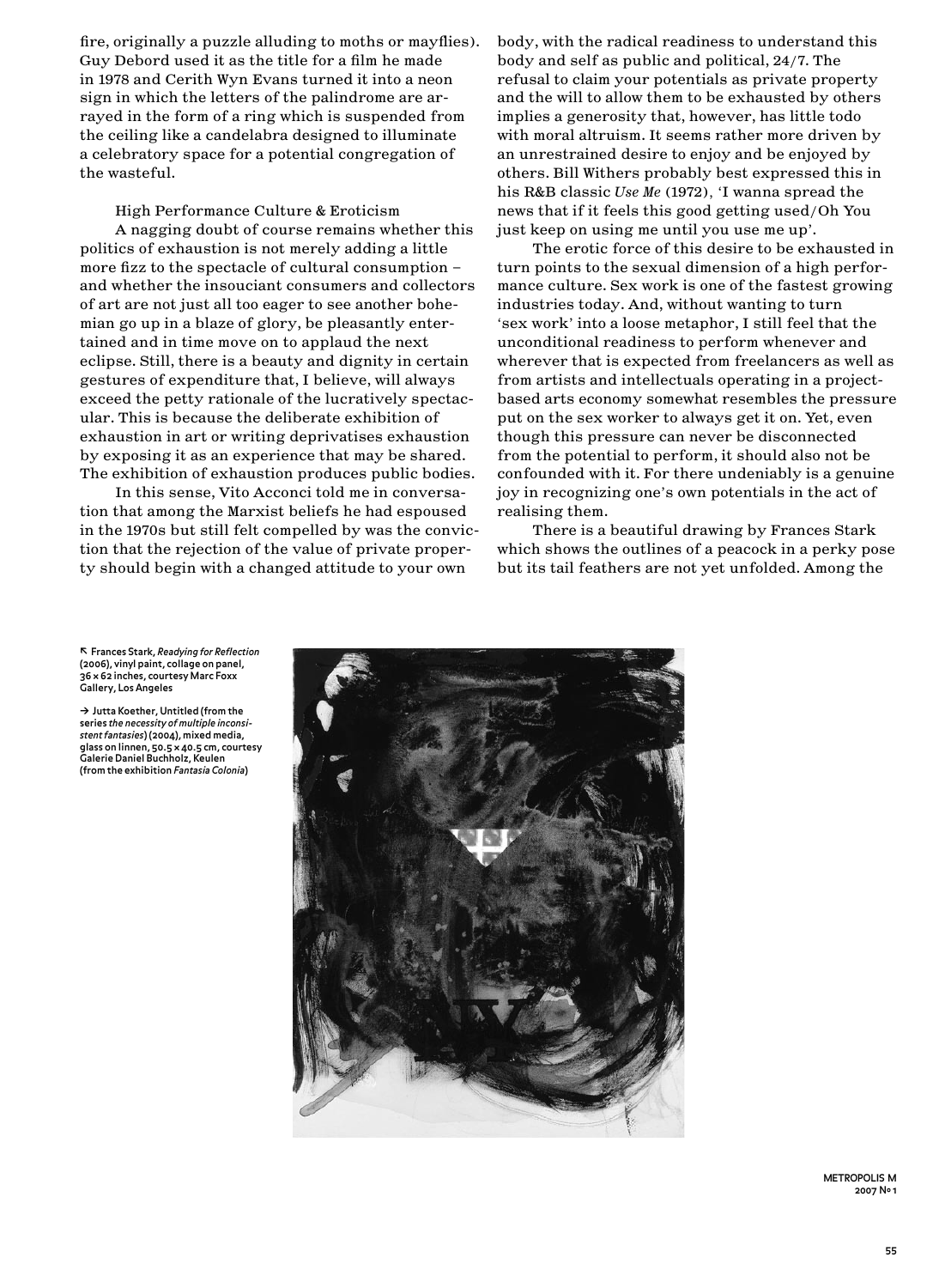**fire, originally a puzzle alluding to moths or mayflies). Guy Debord used it as the title for a film he made in 1978 and Cerith Wyn Evans turned it into a neon sign in which the letters of the palindrome are arrayed in the form of a ring which is suspended from the ceiling like a candelabra designed to illuminate a celebratory space for a potential congregation of the wasteful.** 

**High Performance Culture & Eroticism A nagging doubt of course remains whether this politics of exhaustion is not merely adding a little more fizz to the spectacle of cultural consumption – and whether the insouciant consumers and collectors of art are not just all too eager to see another bohemian go up in a blaze of glory, be pleasantly entertained and in time move on to applaud the next eclipse. Still, there is a beauty and dignity in certain gestures of expenditure that, I believe, will always exceed the petty rationale of the lucratively spectacular. This is because the deliberate exhibition of exhaustion in art or writing deprivatises exhaustion by exposing it as an experience that may be shared. The exhibition of exhaustion produces public bodies.**

**In this sense, Vito Acconci told me in conversation that among the Marxist beliefs he had espoused in the 1970s but still felt compelled by was the conviction that the rejection of the value of private property should begin with a changed attitude to your own** 

**body, with the radical readiness to understand this body and self as public and political, 24/7. The refusal to claim your potentials as private property and the will to allow them to be exhausted by others implies a generosity that, however, has little todo with moral altruism. It seems rather more driven by an unrestrained desire to enjoy and be enjoyed by others. Bill Withers probably best expressed this in**  his R&B classic *Use Me* (1972), 'I wanna spread the **news that if it feels this good getting used/Oh You just keep on using me until you use me up'.**

**The erotic force of this desire to be exhausted in turn points to the sexual dimension of a high performance culture. Sex work is one of the fastest growing industries today. And, without wanting to turn 'sex work' into a loose metaphor, I still feel that the unconditional readiness to perform whenever and wherever that is expected from freelancers as well as from artists and intellectuals operating in a projectbased arts economy somewhat resembles the pressure put on the sex worker to always get it on. Yet, even though this pressure can never be disconnected from the potential to perform, it should also not be confounded with it. For there undeniably is a genuine joy in recognizing one's own potentials in the act of realising them.** 

**There is a beautiful drawing by Frances Stark which shows the outlines of a peacock in a perky pose but its tail feathers are not yet unfolded. Among the** 



≥ Jutta Koether, Untitled (from the series *the necessity of multiple inconsistent fantasies*) (2004), mixed media, glass on linnen, 50.5 × 40.5 cm, courtesy Galerie Daniel Buchholz, Keulen (from the exhibition *Fantasia Colonia*)



METROPOLIS M 2007 Nº 1